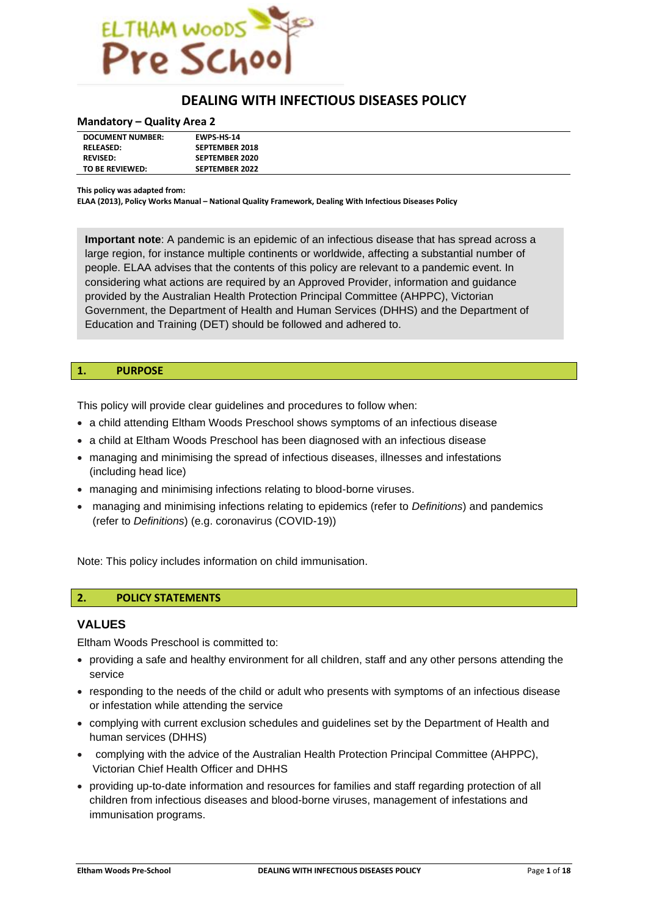

# **DEALING WITH INFECTIOUS DISEASES POLICY**

#### **Mandatory – Quality Area 2**

| <b>DOCUMENT NUMBER:</b> | <b>EWPS HS 14</b>     |  |
|-------------------------|-----------------------|--|
| <b>RELEASED:</b>        | <b>SEPTEMBER 2018</b> |  |
| <b>REVISED:</b>         | <b>SEPTEMBER 2020</b> |  |
| TO BE REVIEWED:         | <b>SEPTEMBER 2022</b> |  |

**This policy was adapted from:**

**ELAA (2013), Policy Works Manual – National Quality Framework, Dealing With Infectious Diseases Policy**

**Important note**: A pandemic is an epidemic of an infectious disease that has spread across a large region, for instance multiple continents or worldwide, affecting a substantial number of people. ELAA advises that the contents of this policy are relevant to a pandemic event. In considering what actions are required by an Approved Provider, information and guidance provided by the Australian Health Protection Principal Committee (AHPPC), Victorian Government, the Department of Health and Human Services (DHHS) and the Department of Education and Training (DET) should be followed and adhered to.

### **1. PURPOSE**

This policy will provide clear guidelines and procedures to follow when:

- a child attending Eltham Woods Preschool shows symptoms of an infectious disease
- a child at Eltham Woods Preschool has been diagnosed with an infectious disease
- managing and minimising the spread of infectious diseases, illnesses and infestations (including head lice)
- managing and minimising infections relating to blood-borne viruses.
- managing and minimising infections relating to epidemics (refer to *Definitions*) and pandemics (refer to *Definitions*) (e.g. coronavirus (COVID-19))

Note: This policy includes information on child immunisation.

### **2. POLICY STATEMENTS**

#### **VALUES**

Eltham Woods Preschool is committed to:

- providing a safe and healthy environment for all children, staff and any other persons attending the service
- responding to the needs of the child or adult who presents with symptoms of an infectious disease or infestation while attending the service
- complying with current exclusion schedules and guidelines set by the Department of Health and human services (DHHS)
- complying with the advice of the Australian Health Protection Principal Committee (AHPPC), Victorian Chief Health Officer and DHHS
- providing up-to-date information and resources for families and staff regarding protection of all children from infectious diseases and blood-borne viruses, management of infestations and immunisation programs.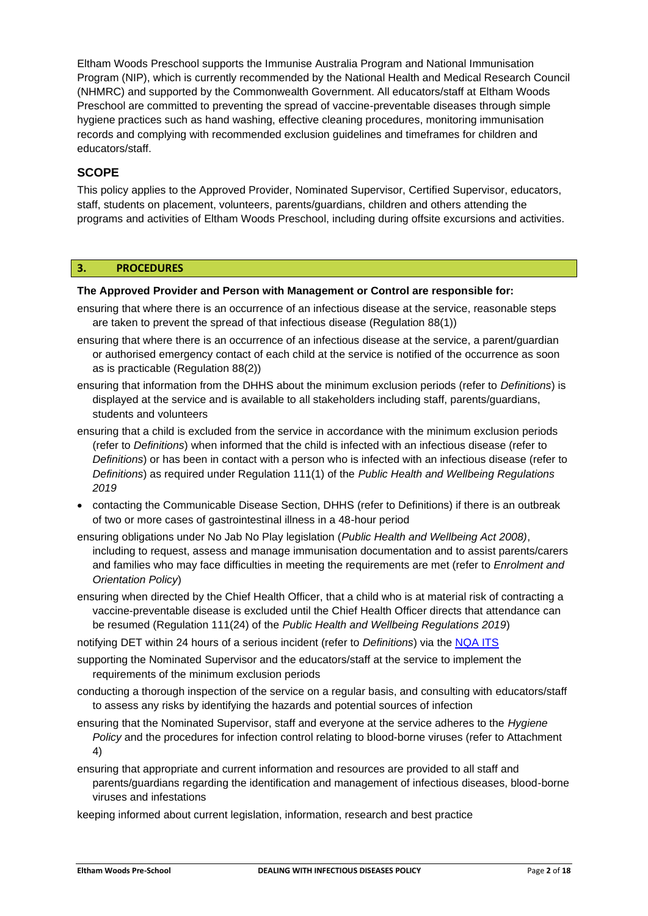Eltham Woods Preschool supports the Immunise Australia Program and National Immunisation Program (NIP), which is currently recommended by the National Health and Medical Research Council (NHMRC) and supported by the Commonwealth Government. All educators/staff at Eltham Woods Preschool are committed to preventing the spread of vaccine-preventable diseases through simple hygiene practices such as hand washing, effective cleaning procedures, monitoring immunisation records and complying with recommended exclusion guidelines and timeframes for children and educators/staff.

## **SCOPE**

This policy applies to the Approved Provider, Nominated Supervisor, Certified Supervisor, educators, staff, students on placement, volunteers, parents/guardians, children and others attending the programs and activities of Eltham Woods Preschool, including during offsite excursions and activities.

## **3. PROCEDURES**

### **The Approved Provider and Person with Management or Control are responsible for:**

- ensuring that where there is an occurrence of an infectious disease at the service, reasonable steps are taken to prevent the spread of that infectious disease (Regulation 88(1))
- ensuring that where there is an occurrence of an infectious disease at the service, a parent/guardian or authorised emergency contact of each child at the service is notified of the occurrence as soon as is practicable (Regulation 88(2))
- ensuring that information from the DHHS about the minimum exclusion periods (refer to *Definitions*) is displayed at the service and is available to all stakeholders including staff, parents/guardians, students and volunteers
- ensuring that a child is excluded from the service in accordance with the minimum exclusion periods (refer to *Definitions*) when informed that the child is infected with an infectious disease (refer to *Definitions*) or has been in contact with a person who is infected with an infectious disease (refer to *Definitions*) as required under Regulation 111(1) of the *Public Health and Wellbeing Regulations 2019*
- contacting the Communicable Disease Section, DHHS (refer to Definitions) if there is an outbreak of two or more cases of gastrointestinal illness in a 48-hour period
- ensuring obligations under No Jab No Play legislation (*Public Health and Wellbeing Act 2008)*, including to request, assess and manage immunisation documentation and to assist parents/carers and families who may face difficulties in meeting the requirements are met (refer to *Enrolment and Orientation Policy*)
- ensuring when directed by the Chief Health Officer, that a child who is at material risk of contracting a vaccine-preventable disease is excluded until the Chief Health Officer directs that attendance can be resumed (Regulation 111(24) of the *Public Health and Wellbeing Regulations 2019*)
- notifying DET within 24 hours of a serious incident (refer to *Definitions*) via the [NQA ITS](https://www.acecqa.gov.au/resources/national-quality-agenda-it-system)
- supporting the Nominated Supervisor and the educators/staff at the service to implement the requirements of the minimum exclusion periods
- conducting a thorough inspection of the service on a regular basis, and consulting with educators/staff to assess any risks by identifying the hazards and potential sources of infection
- ensuring that the Nominated Supervisor, staff and everyone at the service adheres to the *Hygiene Policy* and the procedures for infection control relating to blood-borne viruses (refer to Attachment 4)
- ensuring that appropriate and current information and resources are provided to all staff and parents/guardians regarding the identification and management of infectious diseases, blood-borne viruses and infestations
- keeping informed about current legislation, information, research and best practice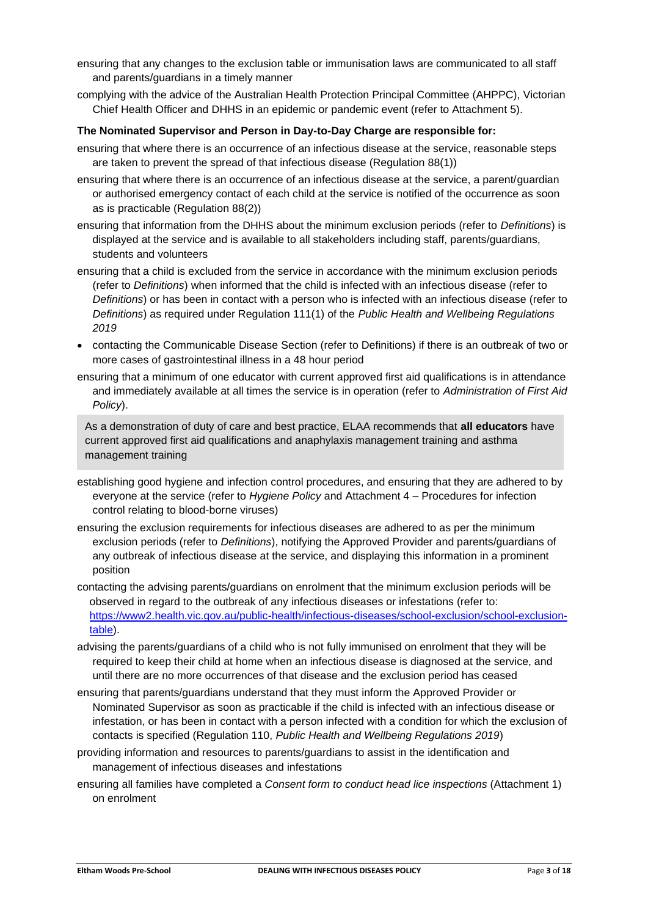- ensuring that any changes to the exclusion table or immunisation laws are communicated to all staff and parents/guardians in a timely manner
- complying with the advice of the Australian Health Protection Principal Committee (AHPPC), Victorian Chief Health Officer and DHHS in an epidemic or pandemic event (refer to Attachment 5).

### **The Nominated Supervisor and Person in Day-to-Day Charge are responsible for:**

- ensuring that where there is an occurrence of an infectious disease at the service, reasonable steps are taken to prevent the spread of that infectious disease (Regulation 88(1))
- ensuring that where there is an occurrence of an infectious disease at the service, a parent/guardian or authorised emergency contact of each child at the service is notified of the occurrence as soon as is practicable (Regulation 88(2))
- ensuring that information from the DHHS about the minimum exclusion periods (refer to *Definitions*) is displayed at the service and is available to all stakeholders including staff, parents/guardians, students and volunteers
- ensuring that a child is excluded from the service in accordance with the minimum exclusion periods (refer to *Definitions*) when informed that the child is infected with an infectious disease (refer to *Definitions*) or has been in contact with a person who is infected with an infectious disease (refer to *Definitions*) as required under Regulation 111(1) of the *Public Health and Wellbeing Regulations 2019*
- contacting the Communicable Disease Section (refer to Definitions) if there is an outbreak of two or more cases of gastrointestinal illness in a 48 hour period
- ensuring that a minimum of one educator with current approved first aid qualifications is in attendance and immediately available at all times the service is in operation (refer to *Administration of First Aid Policy*).

As a demonstration of duty of care and best practice, ELAA recommends that **all educators** have current approved first aid qualifications and anaphylaxis management training and asthma management training

- establishing good hygiene and infection control procedures, and ensuring that they are adhered to by everyone at the service (refer to *Hygiene Policy* and Attachment 4 – Procedures for infection control relating to blood-borne viruses)
- ensuring the exclusion requirements for infectious diseases are adhered to as per the minimum exclusion periods (refer to *Definitions*), notifying the Approved Provider and parents/guardians of any outbreak of infectious disease at the service, and displaying this information in a prominent position
- contacting the advising parents/guardians on enrolment that the minimum exclusion periods will be observed in regard to the outbreak of any infectious diseases or infestations (refer to: [https://www2.health.vic.gov.au/public-health/infectious-diseases/school-exclusion/school-exclusion](https://www2.health.vic.gov.au/public-health/infectious-diseases/school-exclusion/school-exclusion-table)[table\)](https://www2.health.vic.gov.au/public-health/infectious-diseases/school-exclusion/school-exclusion-table).
- advising the parents/guardians of a child who is not fully immunised on enrolment that they will be required to keep their child at home when an infectious disease is diagnosed at the service, and until there are no more occurrences of that disease and the exclusion period has ceased
- ensuring that parents/guardians understand that they must inform the Approved Provider or Nominated Supervisor as soon as practicable if the child is infected with an infectious disease or infestation, or has been in contact with a person infected with a condition for which the exclusion of contacts is specified (Regulation 110, *Public Health and Wellbeing Regulations 2019*)
- providing information and resources to parents/guardians to assist in the identification and management of infectious diseases and infestations
- ensuring all families have completed a *Consent form to conduct head lice inspections* (Attachment 1) on enrolment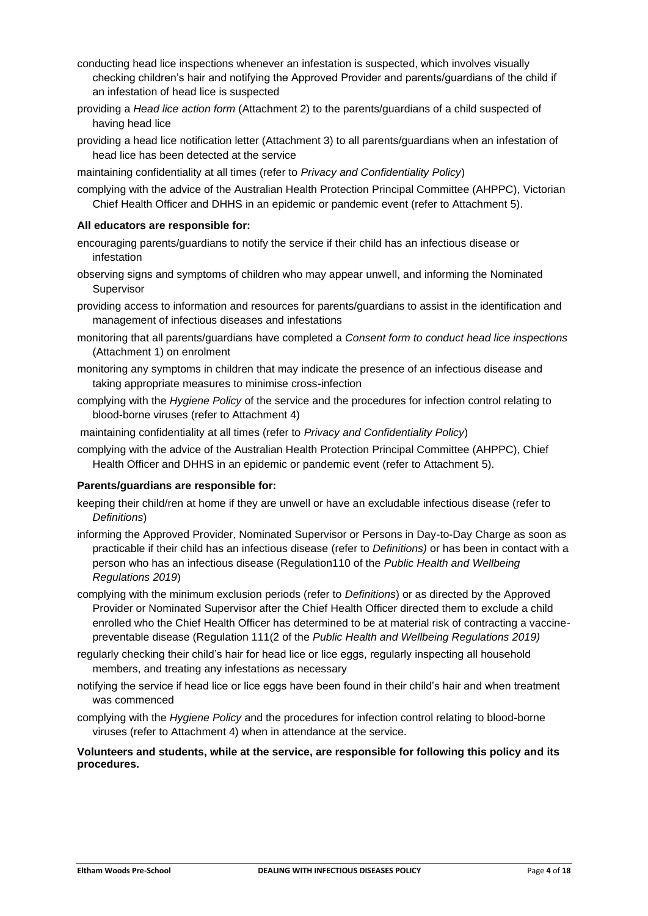- conducting head lice inspections whenever an infestation is suspected, which involves visually checking children's hair and notifying the Approved Provider and parents/guardians of the child if an infestation of head lice is suspected
- providing a *Head lice action form* (Attachment 2) to the parents/guardians of a child suspected of having head lice
- providing a head lice notification letter (Attachment 3) to all parents/guardians when an infestation of head lice has been detected at the service
- maintaining confidentiality at all times (refer to *Privacy and Confidentiality Policy*)
- complying with the advice of the Australian Health Protection Principal Committee (AHPPC), Victorian Chief Health Officer and DHHS in an epidemic or pandemic event (refer to Attachment 5).

### **All educators are responsible for:**

- encouraging parents/guardians to notify the service if their child has an infectious disease or infestation
- observing signs and symptoms of children who may appear unwell, and informing the Nominated **Supervisor**
- providing access to information and resources for parents/guardians to assist in the identification and management of infectious diseases and infestations
- monitoring that all parents/guardians have completed a *Consent form to conduct head lice inspections* (Attachment 1) on enrolment
- monitoring any symptoms in children that may indicate the presence of an infectious disease and taking appropriate measures to minimise cross-infection
- complying with the *Hygiene Policy* of the service and the procedures for infection control relating to blood-borne viruses (refer to Attachment 4)
- maintaining confidentiality at all times (refer to *Privacy and Confidentiality Policy*)
- complying with the advice of the Australian Health Protection Principal Committee (AHPPC), Chief Health Officer and DHHS in an epidemic or pandemic event (refer to Attachment 5).

### **Parents/guardians are responsible for:**

- keeping their child/ren at home if they are unwell or have an excludable infectious disease (refer to *Definitions*)
- informing the Approved Provider, Nominated Supervisor or Persons in Day-to-Day Charge as soon as practicable if their child has an infectious disease (refer to *Definitions)* or has been in contact with a person who has an infectious disease (Regulation110 of the *Public Health and Wellbeing Regulations 2019*)
- complying with the minimum exclusion periods (refer to *Definitions*) or as directed by the Approved Provider or Nominated Supervisor after the Chief Health Officer directed them to exclude a child enrolled who the Chief Health Officer has determined to be at material risk of contracting a vaccinepreventable disease (Regulation 111(2 of the *Public Health and Wellbeing Regulations 2019)*
- regularly checking their child's hair for head lice or lice eggs, regularly inspecting all household members, and treating any infestations as necessary
- notifying the service if head lice or lice eggs have been found in their child's hair and when treatment was commenced
- complying with the *Hygiene Policy* and the procedures for infection control relating to blood-borne viruses (refer to Attachment 4) when in attendance at the service.

**Volunteers and students, while at the service, are responsible for following this policy and its procedures.**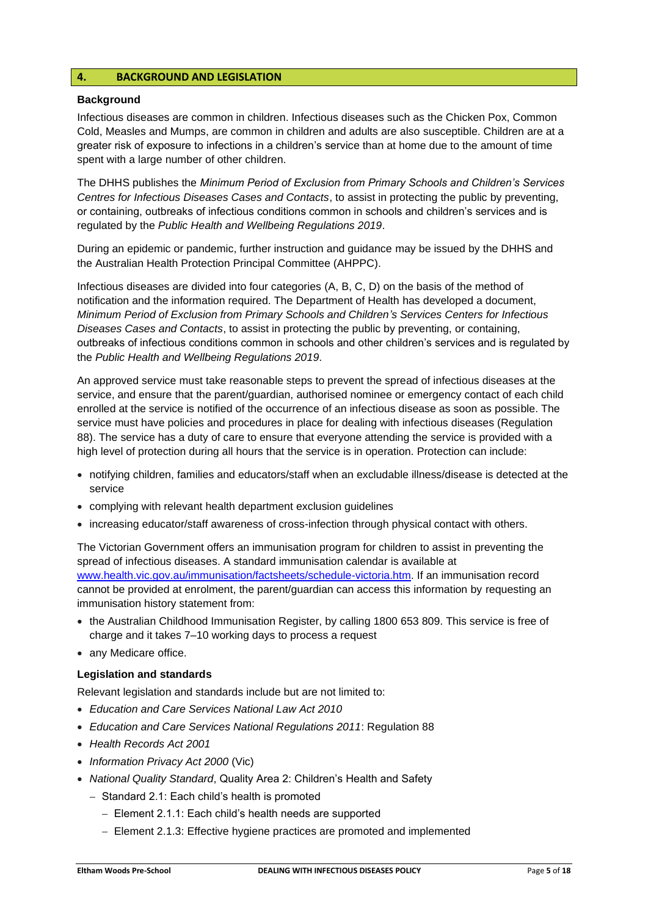## **4. BACKGROUND AND LEGISLATION**

#### **Background**

Infectious diseases are common in children. Infectious diseases such as the Chicken Pox, Common Cold, Measles and Mumps, are common in children and adults are also susceptible. Children are at a greater risk of exposure to infections in a children's service than at home due to the amount of time spent with a large number of other children.

The DHHS publishes the *Minimum Period of Exclusion from Primary Schools and Children's Services Centres for Infectious Diseases Cases and Contacts*, to assist in protecting the public by preventing, or containing, outbreaks of infectious conditions common in schools and children's services and is regulated by the *Public Health and Wellbeing Regulations 2019*.

During an epidemic or pandemic, further instruction and guidance may be issued by the DHHS and the Australian Health Protection Principal Committee (AHPPC).

Infectious diseases are divided into four categories (A, B, C, D) on the basis of the method of notification and the information required. The Department of Health has developed a document, *Minimum Period of Exclusion from Primary Schools and Children's Services Centers for Infectious Diseases Cases and Contacts*, to assist in protecting the public by preventing, or containing, outbreaks of infectious conditions common in schools and other children's services and is regulated by the *Public Health and Wellbeing Regulations 2019*.

An approved service must take reasonable steps to prevent the spread of infectious diseases at the service, and ensure that the parent/guardian, authorised nominee or emergency contact of each child enrolled at the service is notified of the occurrence of an infectious disease as soon as possible. The service must have policies and procedures in place for dealing with infectious diseases (Regulation 88). The service has a duty of care to ensure that everyone attending the service is provided with a high level of protection during all hours that the service is in operation. Protection can include:

- notifying children, families and educators/staff when an excludable illness/disease is detected at the service
- complying with relevant health department exclusion guidelines
- increasing educator/staff awareness of cross-infection through physical contact with others.

The Victorian Government offers an immunisation program for children to assist in preventing the spread of infectious diseases. A standard immunisation calendar is available at [www.health.vic.gov.au/immunisation/factsheets/schedule-victoria.htm.](http://www.health.vic.gov.au/immunisation/factsheets/schedule-victoria.htm) If an immunisation record cannot be provided at enrolment, the parent/guardian can access this information by requesting an immunisation history statement from:

- the Australian Childhood Immunisation Register, by calling 1800 653 809. This service is free of charge and it takes 7–10 working days to process a request
- any Medicare office.

### **Legislation and standards**

Relevant legislation and standards include but are not limited to:

- *Education and Care Services National Law Act 2010*
- *Education and Care Services National Regulations 2011*: Regulation 88
- *Health Records Act 2001*
- *Information Privacy Act 2000* (Vic)
- *National Quality Standard*, Quality Area 2: Children's Health and Safety
	- − Standard 2.1: Each child's health is promoted
		- − Element 2.1.1: Each child's health needs are supported
		- − Element 2.1.3: Effective hygiene practices are promoted and implemented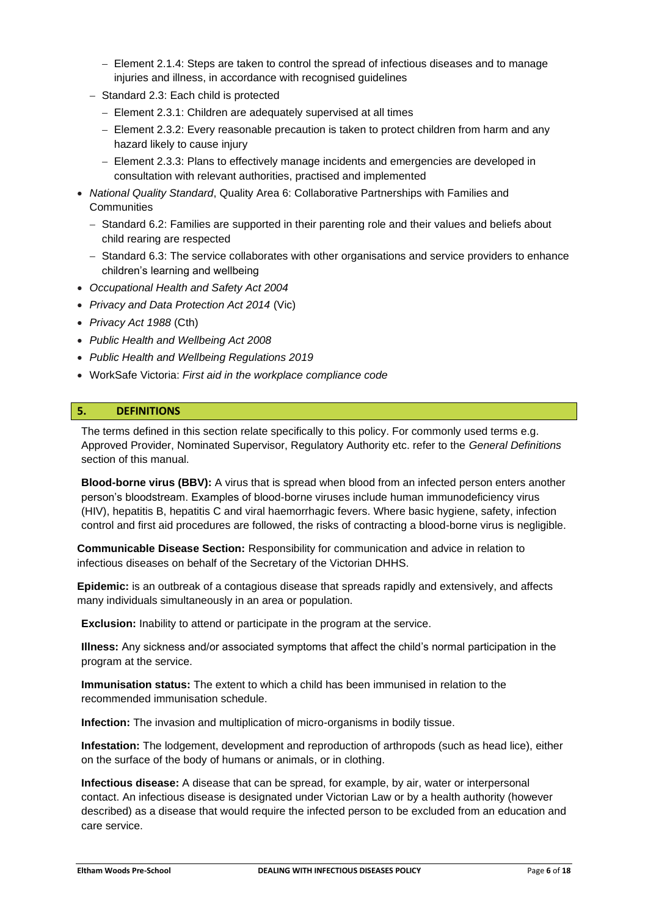- − Element 2.1.4: Steps are taken to control the spread of infectious diseases and to manage injuries and illness, in accordance with recognised guidelines
- − Standard 2.3: Each child is protected
	- − Element 2.3.1: Children are adequately supervised at all times
	- − Element 2.3.2: Every reasonable precaution is taken to protect children from harm and any hazard likely to cause injury
	- − Element 2.3.3: Plans to effectively manage incidents and emergencies are developed in consultation with relevant authorities, practised and implemented
- *National Quality Standard*, Quality Area 6: Collaborative Partnerships with Families and **Communities** 
	- − Standard 6.2: Families are supported in their parenting role and their values and beliefs about child rearing are respected
	- − Standard 6.3: The service collaborates with other organisations and service providers to enhance children's learning and wellbeing
- *Occupational Health and Safety Act 2004*
- *Privacy and Data Protection Act 2014* (Vic)
- *Privacy Act 1988* (Cth)
- *Public Health and Wellbeing Act 2008*
- *Public Health and Wellbeing Regulations 2019*
- WorkSafe Victoria: *First aid in the workplace compliance code*

### **5. DEFINITIONS**

The terms defined in this section relate specifically to this policy. For commonly used terms e.g. Approved Provider, Nominated Supervisor, Regulatory Authority etc. refer to the *General Definitions* section of this manual.

**Blood-borne virus (BBV):** A virus that is spread when blood from an infected person enters another person's bloodstream. Examples of blood-borne viruses include human immunodeficiency virus [\(HIV\)](http://en.wikipedia.org/wiki/HIV), [hepatitis B,](http://en.wikipedia.org/wiki/Hepatitis_B) [hepatitis C](http://en.wikipedia.org/wiki/Hepatitis_C) and [viral haemorrhagic fevers.](http://en.wikipedia.org/wiki/Viral_hemorrhagic_fever) Where basic hygiene, safety, infection control and first aid procedures are followed, the risks of contracting a blood-borne virus is negligible.

**Communicable Disease Section:** Responsibility for communication and advice in relation to infectious diseases on behalf of the Secretary of the Victorian DHHS.

**Epidemic:** is an outbreak of a contagious disease that spreads rapidly and extensively, and affects many individuals simultaneously in an area or population.

**Exclusion:** Inability to attend or participate in the program at the service.

**Illness:** Any sickness and/or associated symptoms that affect the child's normal participation in the program at the service.

**Immunisation status:** The extent to which a child has been immunised in relation to the recommended immunisation schedule.

**Infection:** The invasion and multiplication of micro-organisms in bodily tissue.

**Infestation:** The lodgement, development and reproduction of arthropods (such as head lice), either on the surface of the body of humans or animals, or in clothing.

**Infectious disease:** A disease that can be spread, for example, by air, water or interpersonal contact. An infectious disease is designated under Victorian Law or by a health authority (however described) as a disease that would require the infected person to be excluded from an education and care service.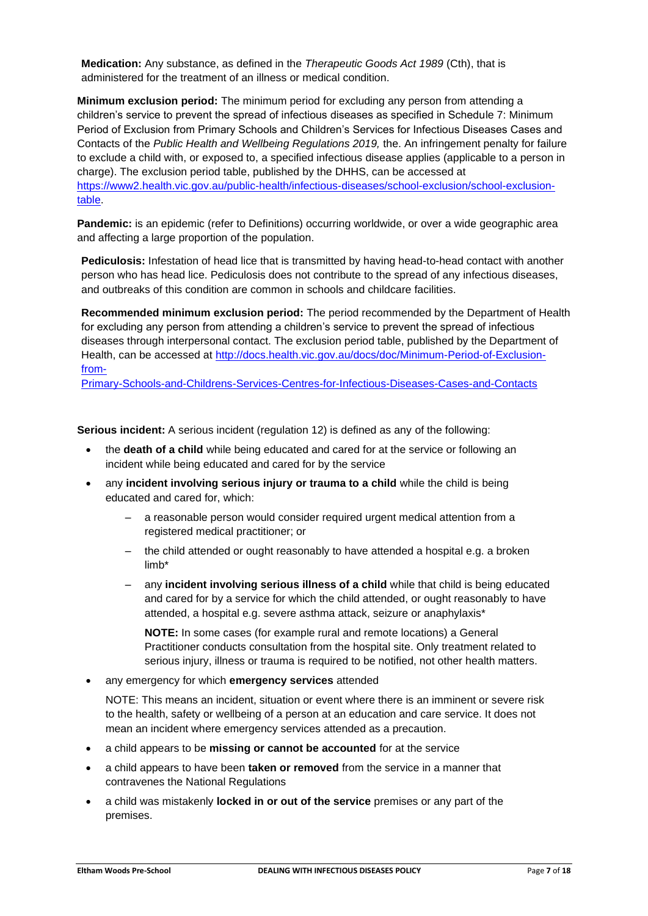**Medication:** Any substance, as defined in the *Therapeutic Goods Act 1989* (Cth), that is administered for the treatment of an illness or medical condition.

**Minimum exclusion period:** The minimum period for excluding any person from attending a children's service to prevent the spread of infectious diseases as specified in Schedule 7: Minimum Period of Exclusion from Primary Schools and Children's Services for Infectious Diseases Cases and Contacts of the *Public Health and Wellbeing Regulations 2019,* the. An infringement penalty for failure to exclude a child with, or exposed to, a specified infectious disease applies (applicable to a person in charge). The exclusion period table, published by the DHHS, can be accessed at [https://www2.health.vic.gov.au/public-health/infectious-diseases/school-exclusion/school-exclusion](https://www2.health.vic.gov.au/public-health/infectious-diseases/school-exclusion/school-exclusion-table)[table.](https://www2.health.vic.gov.au/public-health/infectious-diseases/school-exclusion/school-exclusion-table)

**Pandemic:** is an epidemic (refer to Definitions) occurring worldwide, or over a wide geographic area and affecting a large proportion of the population.

**Pediculosis:** Infestation of head lice that is transmitted by having head-to-head contact with another person who has head lice. Pediculosis does not contribute to the spread of any infectious diseases, and outbreaks of this condition are common in schools and childcare facilities.

**Recommended minimum exclusion period:** The period recommended by the Department of Health for excluding any person from attending a children's service to prevent the spread of infectious diseases through interpersonal contact. The exclusion period table, published by the Department of Health, can be accessed at [http://docs.health.vic.gov.au/docs/doc/Minimum-Period-of-Exclusion](http://docs.health.vic.gov.au/docs/doc/Minimum-Period-of-Exclusion-from-%0bPrimary-Schools-and-Childrens-Services-Centres-for-Infectious-Diseases-Cases-and-Contacts)[from-](http://docs.health.vic.gov.au/docs/doc/Minimum-Period-of-Exclusion-from-%0bPrimary-Schools-and-Childrens-Services-Centres-for-Infectious-Diseases-Cases-and-Contacts)

[Primary-Schools-and-Childrens-Services-Centres-for-Infectious-Diseases-Cases-and-Contacts](http://docs.health.vic.gov.au/docs/doc/Minimum-Period-of-Exclusion-from-%0bPrimary-Schools-and-Childrens-Services-Centres-for-Infectious-Diseases-Cases-and-Contacts)

**Serious incident:** A serious incident (regulation 12) is defined as any of the following:

- the **death of a child** while being educated and cared for at the service or following an incident while being educated and cared for by the service
- any **incident involving serious injury or trauma to a child** while the child is being educated and cared for, which:
	- a reasonable person would consider required urgent medical attention from a registered medical practitioner; or
	- the child attended or ought reasonably to have attended a hospital e.g. a broken limb\*
	- any **incident involving serious illness of a child** while that child is being educated and cared for by a service for which the child attended, or ought reasonably to have attended, a hospital e.g. severe asthma attack, seizure or anaphylaxis\*

**NOTE:** In some cases (for example rural and remote locations) a General Practitioner conducts consultation from the hospital site. Only treatment related to serious injury, illness or trauma is required to be notified, not other health matters.

• any emergency for which **emergency services** attended

NOTE: This means an incident, situation or event where there is an imminent or severe risk to the health, safety or wellbeing of a person at an education and care service. It does not mean an incident where emergency services attended as a precaution.

- a child appears to be **missing or cannot be accounted** for at the service
- a child appears to have been **taken or removed** from the service in a manner that contravenes the National Regulations
- a child was mistakenly **locked in or out of the service** premises or any part of the premises.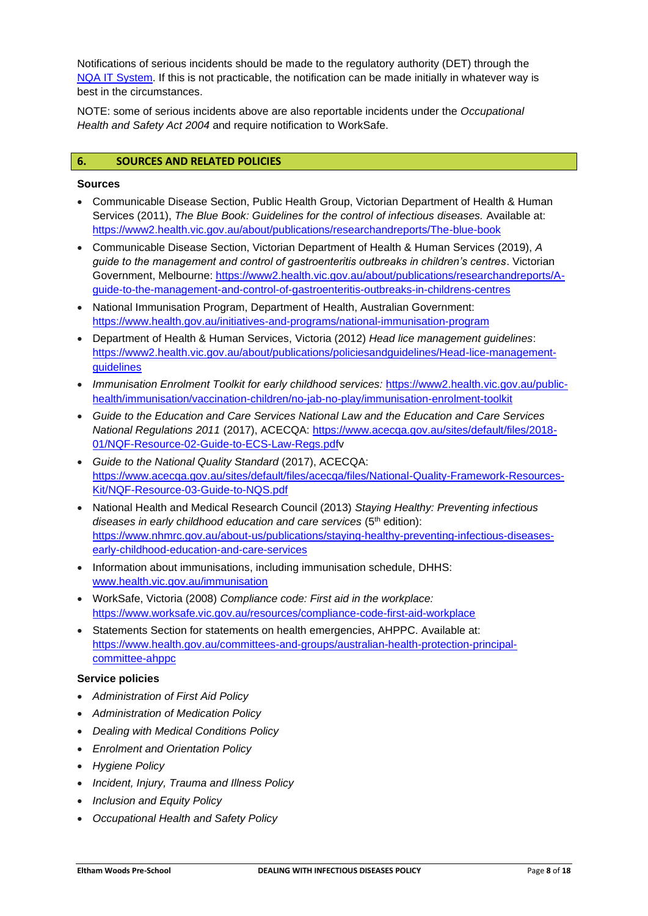Notifications of serious incidents should be made to the regulatory authority (DET) through the [NQA IT System.](https://www.acecqa.gov.au/resources/national-quality-agenda-it-system) If this is not practicable, the notification can be made initially in whatever way is best in the circumstances.

NOTE: some of serious incidents above are also reportable incidents under the *Occupational Health and Safety Act 2004* and require notification to WorkSafe.

### **6. SOURCES AND RELATED POLICIES**

#### **Sources**

- Communicable Disease Section, Public Health Group, Victorian Department of Health & Human Services (2011), *The Blue Book: Guidelines for the control of infectious diseases.* Available at: <https://www2.health.vic.gov.au/about/publications/researchandreports/The-blue-book>
- Communicable Disease Section, Victorian Department of Health & Human Services (2019), *A guide to the management and control of gastroenteritis outbreaks in children's centres*. Victorian Government, Melbourne: [https://www2.health.vic.gov.au/about/publications/researchandreports/A](https://www2.health.vic.gov.au/about/publications/researchandreports/A-guide-to-the-management-and-control-of-gastroenteritis-outbreaks-in-childrens-centres)[guide-to-the-management-and-control-of-gastroenteritis-outbreaks-in-childrens-centres](https://www2.health.vic.gov.au/about/publications/researchandreports/A-guide-to-the-management-and-control-of-gastroenteritis-outbreaks-in-childrens-centres)
- National Immunisation Program, Department of Health, Australian Government: <https://www.health.gov.au/initiatives-and-programs/national-immunisation-program>
- Department of Health & Human Services, Victoria (2012) *Head lice management guidelines*: [https://www2.health.vic.gov.au/about/publications/policiesandguidelines/Head-lice-management](https://www2.health.vic.gov.au/about/publications/policiesandguidelines/Head-lice-management-guidelines)[guidelines](https://www2.health.vic.gov.au/about/publications/policiesandguidelines/Head-lice-management-guidelines)
- *Immunisation Enrolment Toolkit for early childhood services:* [https://www2.health.vic.gov.au/public](https://www2.health.vic.gov.au/public-health/immunisation/vaccination-children/no-jab-no-play/immunisation-enrolment-toolkit)[health/immunisation/vaccination-children/no-jab-no-play/immunisation-enrolment-toolkit](https://www2.health.vic.gov.au/public-health/immunisation/vaccination-children/no-jab-no-play/immunisation-enrolment-toolkit)
- *Guide to the Education and Care Services National Law and the Education and Care Services National Regulations 2011* (2017), ACECQA: [https://www.acecqa.gov.au/sites/default/files/2018-](https://www.acecqa.gov.au/sites/default/files/2018-01/NQF-Resource-02-Guide-to-ECS-Law-Regs.pdf) [01/NQF-Resource-02-Guide-to-ECS-Law-Regs.pdfv](https://www.acecqa.gov.au/sites/default/files/2018-01/NQF-Resource-02-Guide-to-ECS-Law-Regs.pdf)
- *Guide to the National Quality Standard* (2017), ACECQA: [https://www.acecqa.gov.au/sites/default/files/acecqa/files/National-Quality-Framework-Resources-](https://www.acecqa.gov.au/sites/default/files/acecqa/files/National-Quality-Framework-Resources-Kit/NQF-Resource-03-Guide-to-NQS.pdf)[Kit/NQF-Resource-03-Guide-to-NQS.pdf](https://www.acecqa.gov.au/sites/default/files/acecqa/files/National-Quality-Framework-Resources-Kit/NQF-Resource-03-Guide-to-NQS.pdf)
- National Health and Medical Research Council (2013) *Staying Healthy: Preventing infectious diseases in early childhood education and care services* (5th edition): [https://www.nhmrc.gov.au/about-us/publications/staying-healthy-preventing-infectious-diseases](https://www.nhmrc.gov.au/about-us/publications/staying-healthy-preventing-infectious-diseases-early-childhood-education-and-care-services)[early-childhood-education-and-care-services](https://www.nhmrc.gov.au/about-us/publications/staying-healthy-preventing-infectious-diseases-early-childhood-education-and-care-services)
- Information about immunisations, including immunisation schedule, DHHS: [www.health.vic.gov.au/immunisation](http://www.health.vic.gov.au/immunisation)
- WorkSafe, Victoria (2008) *Compliance code: First aid in the workplace:*  <https://www.worksafe.vic.gov.au/resources/compliance-code-first-aid-workplace>
- Statements Section for statements on health emergencies, AHPPC. Available at: [https://www.health.gov.au/committees-and-groups/australian-health-protection-principal](https://www.health.gov.au/committees-and-groups/australian-health-protection-principal-committee-ahppc)[committee-ahppc](https://www.health.gov.au/committees-and-groups/australian-health-protection-principal-committee-ahppc)

### **Service policies**

- *Administration of First Aid Policy*
- *Administration of Medication Policy*
- *Dealing with Medical Conditions Policy*
- *Enrolment and Orientation Policy*
- *Hygiene Policy*
- *Incident, Injury, Trauma and Illness Policy*
- *Inclusion and Equity Policy*
- *Occupational Health and Safety Policy*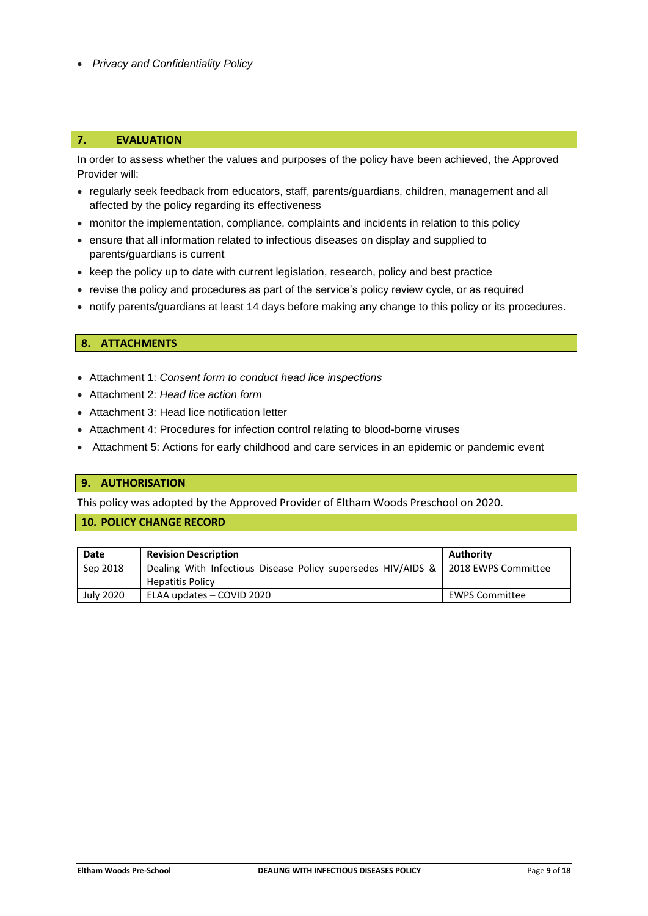• *Privacy and Confidentiality Policy*

### **7. EVALUATION**

In order to assess whether the values and purposes of the policy have been achieved, the Approved Provider will:

- regularly seek feedback from educators, staff, parents/guardians, children, management and all affected by the policy regarding its effectiveness
- monitor the implementation, compliance, complaints and incidents in relation to this policy
- ensure that all information related to infectious diseases on display and supplied to parents/guardians is current
- keep the policy up to date with current legislation, research, policy and best practice
- revise the policy and procedures as part of the service's policy review cycle, or as required
- notify parents/guardians at least 14 days before making any change to this policy or its procedures.

## **8. ATTACHMENTS**

- Attachment 1: *Consent form to conduct head lice inspections*
- Attachment 2: *Head lice action form*
- Attachment 3: Head lice notification letter
- Attachment 4: Procedures for infection control relating to blood-borne viruses
- Attachment 5: Actions for early childhood and care services in an epidemic or pandemic event

#### **9. AUTHORISATION**

This policy was adopted by the Approved Provider of Eltham Woods Preschool on 2020.

### **10. POLICY CHANGE RECORD**

| Date      | <b>Revision Description</b>                                                      | Authority             |
|-----------|----------------------------------------------------------------------------------|-----------------------|
| Sep 2018  | Dealing With Infectious Disease Policy supersedes HIV/AIDS & 2018 EWPS Committee |                       |
|           | <b>Hepatitis Policy</b>                                                          |                       |
| July 2020 | ELAA updates - COVID 2020                                                        | <b>EWPS Committee</b> |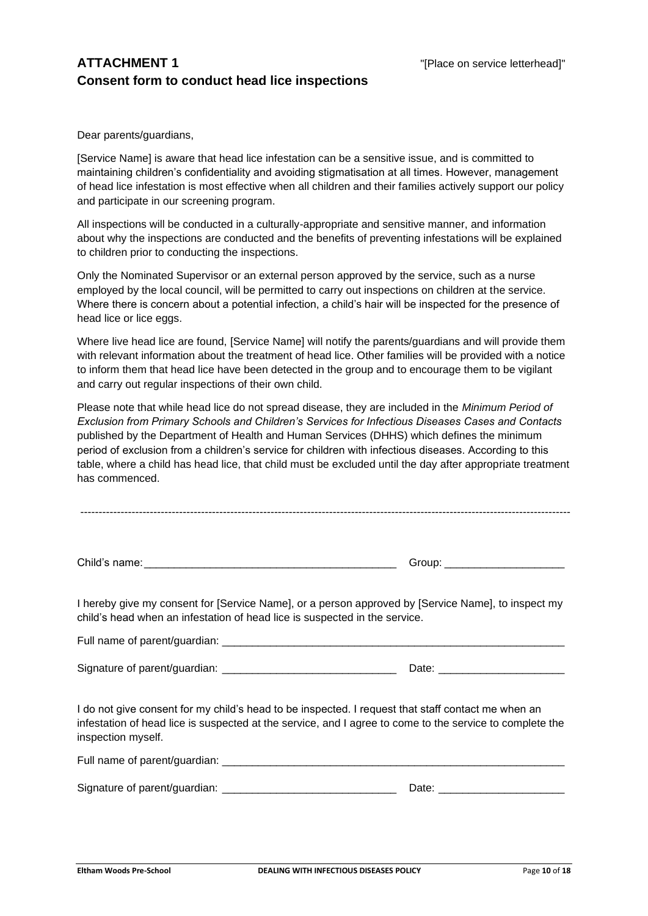# **ATTACHMENT 1** THE STRIP SERVICE SERVICE SERVICE SERVICE INTERFERIENCE STRIP SERVICE IN THE STRIP SERVICE SERVICE SERVICE SERVICE SERVICE SERVICE SERVICE SERVICE SERVICE SERVICE SERVICE SERVICE SERVICE SERVICE SERVICE SERV **Consent form to conduct head lice inspections**

Dear parents/guardians,

[Service Name] is aware that head lice infestation can be a sensitive issue, and is committed to maintaining children's confidentiality and avoiding stigmatisation at all times. However, management of head lice infestation is most effective when all children and their families actively support our policy and participate in our screening program.

All inspections will be conducted in a culturally-appropriate and sensitive manner, and information about why the inspections are conducted and the benefits of preventing infestations will be explained to children prior to conducting the inspections.

Only the Nominated Supervisor or an external person approved by the service, such as a nurse employed by the local council, will be permitted to carry out inspections on children at the service. Where there is concern about a potential infection, a child's hair will be inspected for the presence of head lice or lice eggs.

Where live head lice are found, [Service Name] will notify the parents/guardians and will provide them with relevant information about the treatment of head lice. Other families will be provided with a notice to inform them that head lice have been detected in the group and to encourage them to be vigilant and carry out regular inspections of their own child.

Please note that while head lice do not spread disease, they are included in the *Minimum Period of Exclusion from Primary Schools and Children's Services for Infectious Diseases Cases and Contacts* published by the Department of Health and Human Services (DHHS) which defines the minimum period of exclusion from a children's service for children with infectious diseases. According to this table, where a child has head lice, that child must be excluded until the day after appropriate treatment has commenced.

Child's name:\_\_\_\_\_\_\_\_\_\_\_\_\_\_\_\_\_\_\_\_\_\_\_\_\_\_\_\_\_\_\_\_\_\_\_\_\_\_\_\_\_\_ Group: \_\_\_\_\_\_\_\_\_\_\_\_\_\_\_\_\_\_\_\_

I hereby give my consent for [Service Name], or a person approved by [Service Name], to inspect my child's head when an infestation of head lice is suspected in the service.

Full name of parent/guardian:  $\overline{a}$ 

Signature of parent/guardian: \_\_\_\_\_\_\_\_\_\_\_\_\_\_\_\_\_\_\_\_\_\_\_\_\_\_\_\_\_ Date: \_\_\_\_\_\_\_\_\_\_\_\_\_\_\_\_\_\_\_\_\_

I do not give consent for my child's head to be inspected. I request that staff contact me when an infestation of head lice is suspected at the service, and I agree to come to the service to complete the inspection myself.

| Full name of parent/guardian: |  |
|-------------------------------|--|
|                               |  |

| Signature of parent/guardian: | )ate |
|-------------------------------|------|
|                               |      |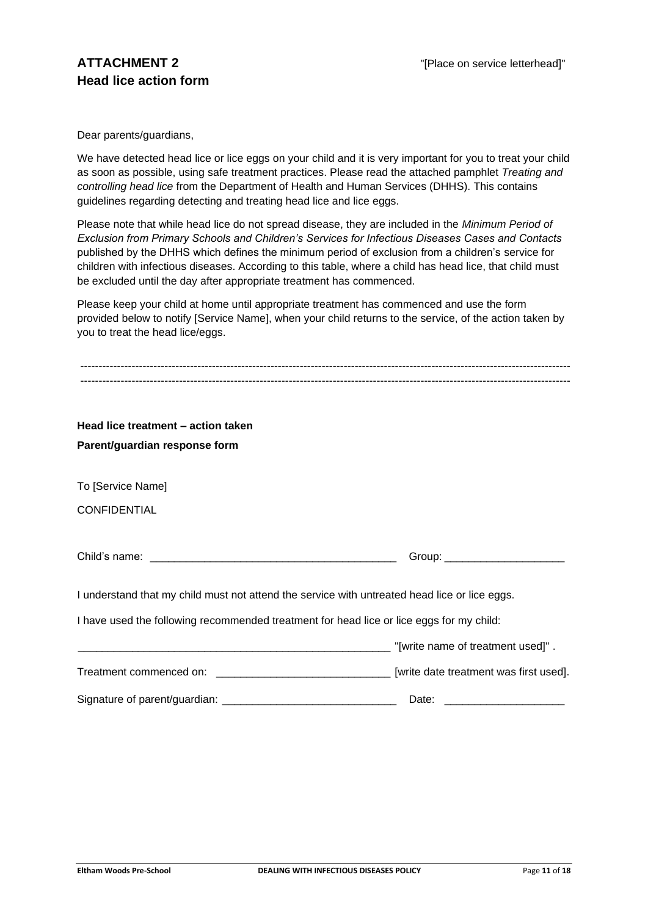Dear parents/guardians,

We have detected head lice or lice eggs on your child and it is very important for you to treat your child as soon as possible, using safe treatment practices. Please read the attached pamphlet *Treating and controlling head lice* from the Department of Health and Human Services (DHHS). This contains guidelines regarding detecting and treating head lice and lice eggs.

Please note that while head lice do not spread disease, they are included in the *Minimum Period of Exclusion from Primary Schools and Children's Services for Infectious Diseases Cases and Contacts* published by the DHHS which defines the minimum period of exclusion from a children's service for children with infectious diseases. According to this table, where a child has head lice, that child must be excluded until the day after appropriate treatment has commenced.

Please keep your child at home until appropriate treatment has commenced and use the form provided below to notify [Service Name], when your child returns to the service, of the action taken by you to treat the head lice/eggs.

| Head lice treatment - action taken                                                            |                                |
|-----------------------------------------------------------------------------------------------|--------------------------------|
| Parent/guardian response form                                                                 |                                |
|                                                                                               |                                |
| To [Service Name]                                                                             |                                |
| <b>CONFIDENTIAL</b>                                                                           |                                |
|                                                                                               |                                |
|                                                                                               |                                |
|                                                                                               | Group: _______________________ |
|                                                                                               |                                |
| I understand that my child must not attend the service with untreated head lice or lice eggs. |                                |
|                                                                                               |                                |
| I have used the following recommended treatment for head lice or lice eggs for my child:      |                                |
|                                                                                               |                                |
|                                                                                               |                                |
|                                                                                               |                                |
|                                                                                               | Date:                          |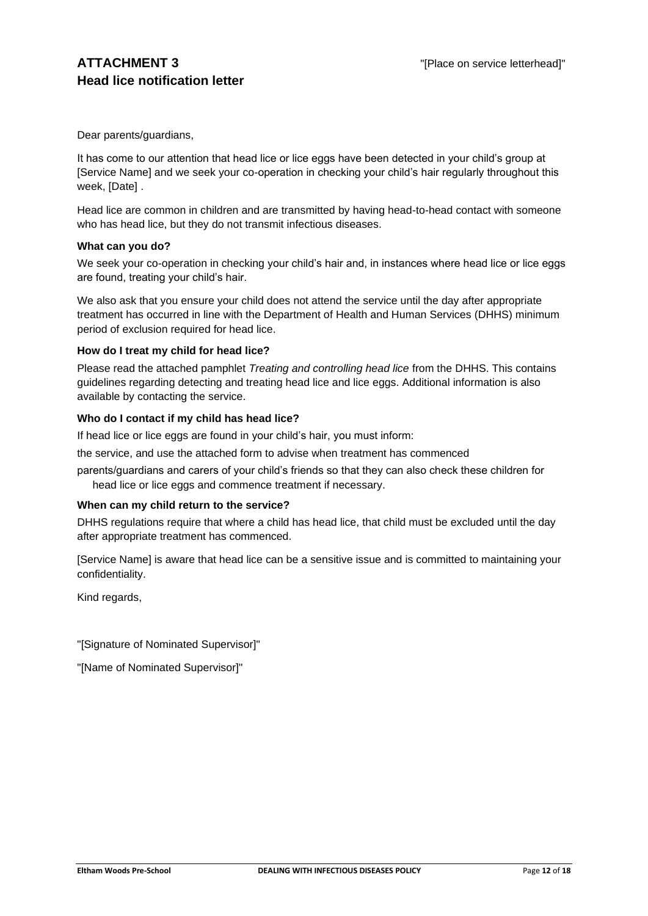Dear parents/guardians,

It has come to our attention that head lice or lice eggs have been detected in your child's group at [Service Name] and we seek your co-operation in checking your child's hair regularly throughout this week, [Date] .

Head lice are common in children and are transmitted by having head-to-head contact with someone who has head lice, but they do not transmit infectious diseases.

#### **What can you do?**

We seek your co-operation in checking your child's hair and, in instances where head lice or lice eggs are found, treating your child's hair.

We also ask that you ensure your child does not attend the service until the day after appropriate treatment has occurred in line with the Department of Health and Human Services (DHHS) minimum period of exclusion required for head lice.

### **How do I treat my child for head lice?**

Please read the attached pamphlet *Treating and controlling head lice* from the DHHS. This contains guidelines regarding detecting and treating head lice and lice eggs. Additional information is also available by contacting the service.

### **Who do I contact if my child has head lice?**

If head lice or lice eggs are found in your child's hair, you must inform:

the service, and use the attached form to advise when treatment has commenced

parents/guardians and carers of your child's friends so that they can also check these children for head lice or lice eggs and commence treatment if necessary.

#### **When can my child return to the service?**

DHHS regulations require that where a child has head lice, that child must be excluded until the day after appropriate treatment has commenced.

[Service Name] is aware that head lice can be a sensitive issue and is committed to maintaining your confidentiality.

Kind regards,

"[Signature of Nominated Supervisor]"

"[Name of Nominated Supervisor]"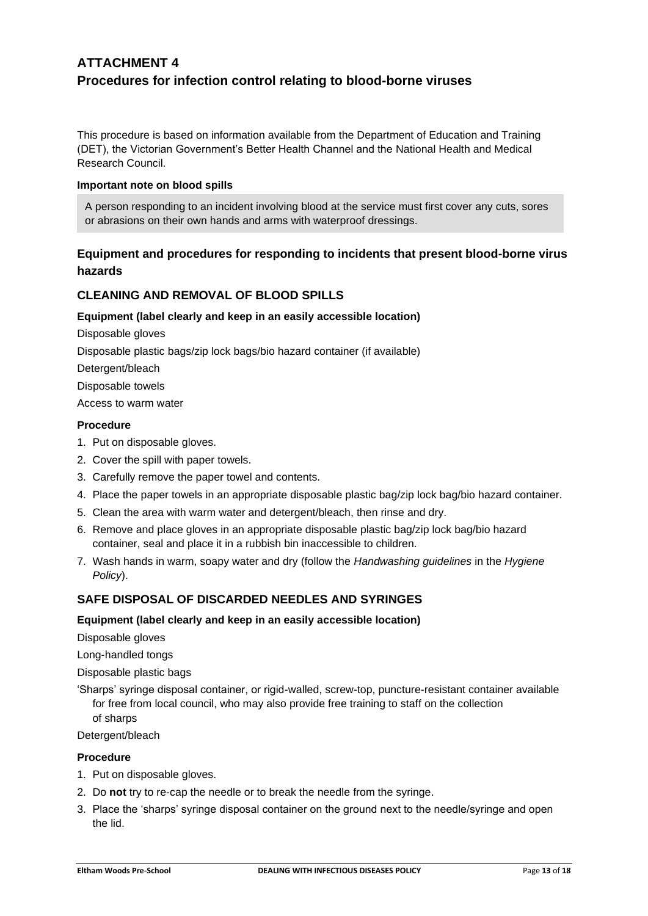# **ATTACHMENT 4 Procedures for infection control relating to blood-borne viruses**

This procedure is based on information available from the Department of Education and Training (DET), the Victorian Government's Better Health Channel and the National Health and Medical Research Council.

### **Important note on blood spills**

A person responding to an incident involving blood at the service must first cover any cuts, sores or abrasions on their own hands and arms with waterproof dressings.

## **Equipment and procedures for responding to incidents that present blood-borne virus hazards**

## **CLEANING AND REMOVAL OF BLOOD SPILLS**

### **Equipment (label clearly and keep in an easily accessible location)**

Disposable gloves

Disposable plastic bags/zip lock bags/bio hazard container (if available)

Detergent/bleach

Disposable towels

Access to warm water

### **Procedure**

- 1. Put on disposable gloves.
- 2. Cover the spill with paper towels.
- 3. Carefully remove the paper towel and contents.
- 4. Place the paper towels in an appropriate disposable plastic bag/zip lock bag/bio hazard container.
- 5. Clean the area with warm water and detergent/bleach, then rinse and dry.
- 6. Remove and place gloves in an appropriate disposable plastic bag/zip lock bag/bio hazard container, seal and place it in a rubbish bin inaccessible to children.
- 7. Wash hands in warm, soapy water and dry (follow the *Handwashing guidelines* in the *Hygiene Policy*).

### **SAFE DISPOSAL OF DISCARDED NEEDLES AND SYRINGES**

#### **Equipment (label clearly and keep in an easily accessible location)**

Disposable gloves

Long-handled tongs

Disposable plastic bags

'Sharps' syringe disposal container, or rigid-walled, screw-top, puncture-resistant container available for free from local council, who may also provide free training to staff on the collection of sharps

Detergent/bleach

#### **Procedure**

- 1. Put on disposable gloves.
- 2. Do **not** try to re-cap the needle or to break the needle from the syringe.
- 3. Place the 'sharps' syringe disposal container on the ground next to the needle/syringe and open the lid.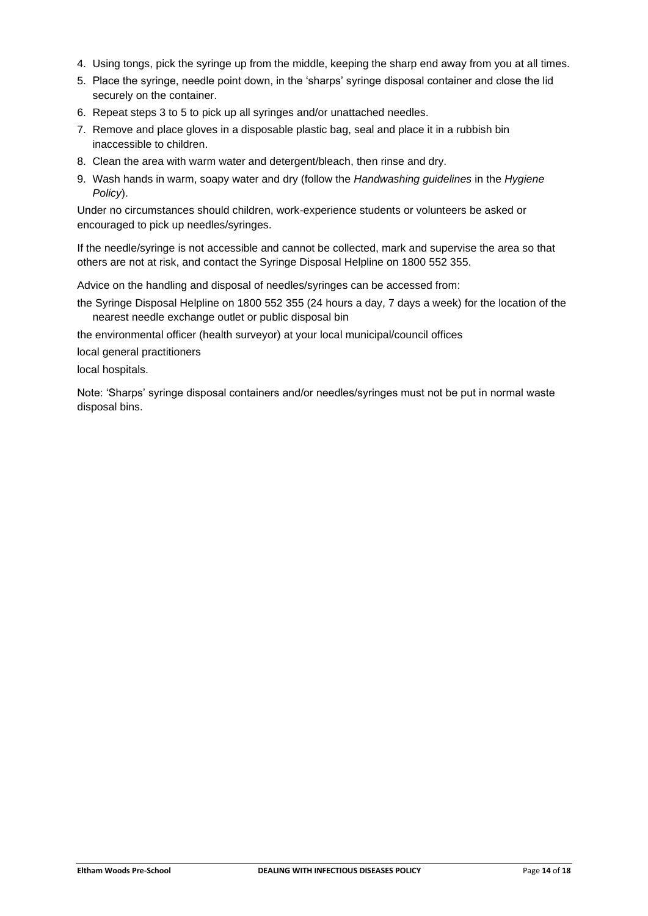- 4. Using tongs, pick the syringe up from the middle, keeping the sharp end away from you at all times.
- 5. Place the syringe, needle point down, in the 'sharps' syringe disposal container and close the lid securely on the container.
- 6. Repeat steps 3 to 5 to pick up all syringes and/or unattached needles.
- 7. Remove and place gloves in a disposable plastic bag, seal and place it in a rubbish bin inaccessible to children.
- 8. Clean the area with warm water and detergent/bleach, then rinse and dry.
- 9. Wash hands in warm, soapy water and dry (follow the *Handwashing guidelines* in the *Hygiene Policy*).

Under no circumstances should children, work-experience students or volunteers be asked or encouraged to pick up needles/syringes.

If the needle/syringe is not accessible and cannot be collected, mark and supervise the area so that others are not at risk, and contact the Syringe Disposal Helpline on 1800 552 355.

Advice on the handling and disposal of needles/syringes can be accessed from:

the Syringe Disposal Helpline on 1800 552 355 (24 hours a day, 7 days a week) for the location of the nearest needle exchange outlet or public disposal bin

the environmental officer (health surveyor) at your local municipal/council offices

local general practitioners

local hospitals.

Note: 'Sharps' syringe disposal containers and/or needles/syringes must not be put in normal waste disposal bins.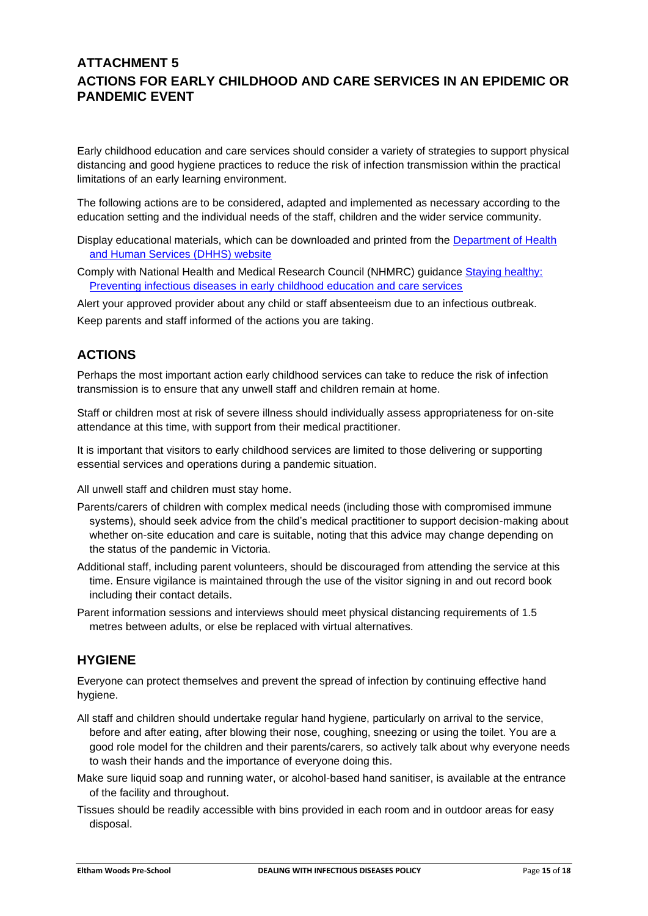# **ATTACHMENT 5 ACTIONS FOR EARLY CHILDHOOD AND CARE SERVICES IN AN EPIDEMIC OR PANDEMIC EVENT**

Early childhood education and care services should consider a variety of strategies to support physical distancing and good hygiene practices to reduce the risk of infection transmission within the practical limitations of an early learning environment.

The following actions are to be considered, adapted and implemented as necessary according to the education setting and the individual needs of the staff, children and the wider service community.

Display educational materials, which can be downloaded and printed from the [Department of Health](http://www.dhhs.vic.gov.au/coronavirus)  [and Human Services \(DHHS\) website](http://www.dhhs.vic.gov.au/coronavirus)

Comply with National Health and Medical Research Council (NHMRC) guidance [Staying healthy:](https://www.nhmrc.gov.au/about-us/publications/staying-healthy-preventing-infectious-diseases-early-childhood-education-and-care-services)  [Preventing infectious diseases in early childhood education and care services](https://www.nhmrc.gov.au/about-us/publications/staying-healthy-preventing-infectious-diseases-early-childhood-education-and-care-services)

Alert your approved provider about any child or staff absenteeism due to an infectious outbreak. Keep parents and staff informed of the actions you are taking.

# **ACTIONS**

Perhaps the most important action early childhood services can take to reduce the risk of infection transmission is to ensure that any unwell staff and children remain at home.

Staff or children most at risk of severe illness should individually assess appropriateness for on-site attendance at this time, with support from their medical practitioner.

It is important that visitors to early childhood services are limited to those delivering or supporting essential services and operations during a pandemic situation.

All unwell staff and children must stay home.

- Parents/carers of children with complex medical needs (including those with compromised immune systems), should seek advice from the child's medical practitioner to support decision-making about whether on-site education and care is suitable, noting that this advice may change depending on the status of the pandemic in Victoria.
- Additional staff, including parent volunteers, should be discouraged from attending the service at this time. Ensure vigilance is maintained through the use of the visitor signing in and out record book including their contact details.
- Parent information sessions and interviews should meet physical distancing requirements of 1.5 metres between adults, or else be replaced with virtual alternatives.

## **HYGIENE**

Everyone can protect themselves and prevent the spread of infection by continuing effective hand hygiene.

- All staff and children should undertake regular hand hygiene, particularly on arrival to the service, before and after eating, after blowing their nose, coughing, sneezing or using the toilet. You are a good role model for the children and their parents/carers, so actively talk about why everyone needs to wash their hands and the importance of everyone doing this.
- Make sure liquid soap and running water, or alcohol-based hand sanitiser, is available at the entrance of the facility and throughout.
- Tissues should be readily accessible with bins provided in each room and in outdoor areas for easy disposal.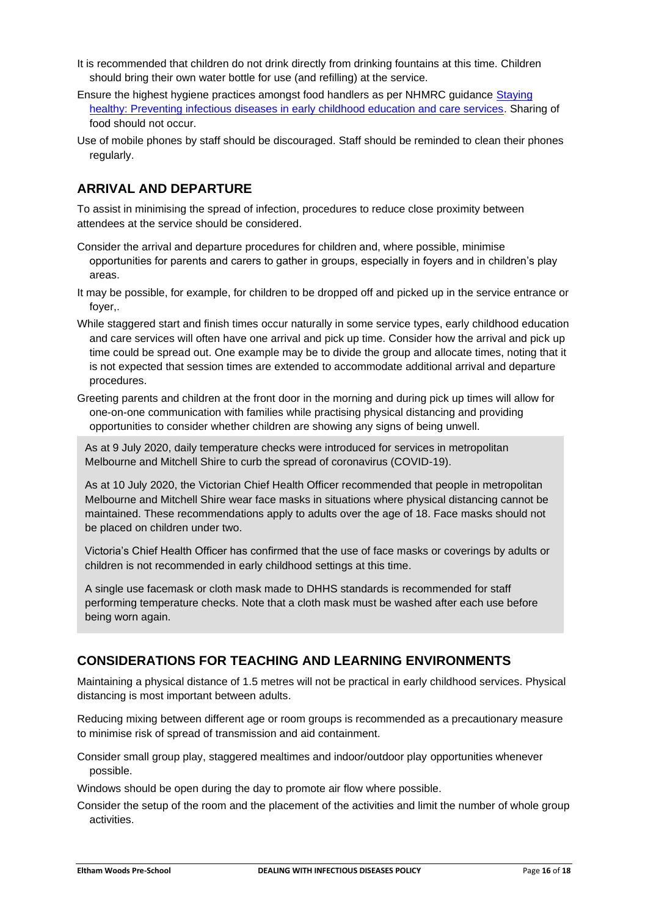- It is recommended that children do not drink directly from drinking fountains at this time. Children should bring their own water bottle for use (and refilling) at the service.
- Ensure the highest hygiene practices amongst food handlers as per NHMRC guidance [Staying](https://www.nhmrc.gov.au/about-us/publications/staying-healthy-preventing-infectious-diseases-early-childhood-education-and-care-services)  [healthy: Preventing infectious diseases in early childhood education and care services.](https://www.nhmrc.gov.au/about-us/publications/staying-healthy-preventing-infectious-diseases-early-childhood-education-and-care-services) Sharing of food should not occur.
- Use of mobile phones by staff should be discouraged. Staff should be reminded to clean their phones regularly.

# **ARRIVAL AND DEPARTURE**

To assist in minimising the spread of infection, procedures to reduce close proximity between attendees at the service should be considered.

- Consider the arrival and departure procedures for children and, where possible, minimise opportunities for parents and carers to gather in groups, especially in foyers and in children's play areas.
- It may be possible, for example, for children to be dropped off and picked up in the service entrance or foyer,.
- While staggered start and finish times occur naturally in some service types, early childhood education and care services will often have one arrival and pick up time. Consider how the arrival and pick up time could be spread out. One example may be to divide the group and allocate times, noting that it is not expected that session times are extended to accommodate additional arrival and departure procedures.
- Greeting parents and children at the front door in the morning and during pick up times will allow for one-on-one communication with families while practising physical distancing and providing opportunities to consider whether children are showing any signs of being unwell.

As at 9 July 2020, daily temperature checks were introduced for services in metropolitan Melbourne and Mitchell Shire to curb the spread of coronavirus (COVID-19).

As at 10 July 2020, the Victorian Chief Health Officer recommended that people in metropolitan Melbourne and Mitchell Shire wear face masks in situations where physical distancing cannot be maintained. These recommendations apply to adults over the age of 18. Face masks should not be placed on children under two.

Victoria's Chief Health Officer has confirmed that the use of face masks or coverings by adults or children is not recommended in early childhood settings at this time.

A single use facemask or cloth mask made to DHHS standards is recommended for staff performing temperature checks. Note that a cloth mask must be washed after each use before being worn again.

## **CONSIDERATIONS FOR TEACHING AND LEARNING ENVIRONMENTS**

Maintaining a physical distance of 1.5 metres will not be practical in early childhood services. Physical distancing is most important between adults.

Reducing mixing between different age or room groups is recommended as a precautionary measure to minimise risk of spread of transmission and aid containment.

- Consider small group play, staggered mealtimes and indoor/outdoor play opportunities whenever possible.
- Windows should be open during the day to promote air flow where possible.
- Consider the setup of the room and the placement of the activities and limit the number of whole group activities.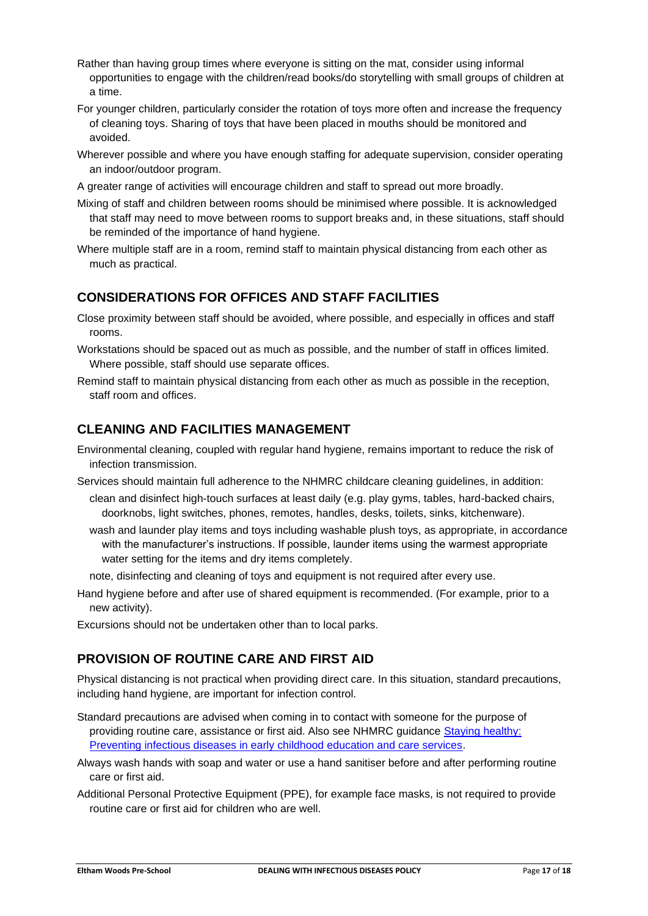- Rather than having group times where everyone is sitting on the mat, consider using informal opportunities to engage with the children/read books/do storytelling with small groups of children at a time.
- For younger children, particularly consider the rotation of toys more often and increase the frequency of cleaning toys. Sharing of toys that have been placed in mouths should be monitored and avoided.
- Wherever possible and where you have enough staffing for adequate supervision, consider operating an indoor/outdoor program.
- A greater range of activities will encourage children and staff to spread out more broadly.
- Mixing of staff and children between rooms should be minimised where possible. It is acknowledged that staff may need to move between rooms to support breaks and, in these situations, staff should be reminded of the importance of hand hygiene.
- Where multiple staff are in a room, remind staff to maintain physical distancing from each other as much as practical.

## **CONSIDERATIONS FOR OFFICES AND STAFF FACILITIES**

- Close proximity between staff should be avoided, where possible, and especially in offices and staff rooms.
- Workstations should be spaced out as much as possible, and the number of staff in offices limited. Where possible, staff should use separate offices.
- Remind staff to maintain physical distancing from each other as much as possible in the reception, staff room and offices.

## **CLEANING AND FACILITIES MANAGEMENT**

- Environmental cleaning, coupled with regular hand hygiene, remains important to reduce the risk of infection transmission.
- Services should maintain full adherence to the NHMRC childcare cleaning guidelines, in addition:
	- clean and disinfect high-touch surfaces at least daily (e.g. play gyms, tables, hard-backed chairs, doorknobs, light switches, phones, remotes, handles, desks, toilets, sinks, kitchenware).
	- wash and launder play items and toys including washable plush toys, as appropriate, in accordance with the manufacturer's instructions. If possible, launder items using the warmest appropriate water setting for the items and dry items completely.
	- note, disinfecting and cleaning of toys and equipment is not required after every use.
- Hand hygiene before and after use of shared equipment is recommended. (For example, prior to a new activity).
- Excursions should not be undertaken other than to local parks.

## **PROVISION OF ROUTINE CARE AND FIRST AID**

Physical distancing is not practical when providing direct care. In this situation, standard precautions, including hand hygiene, are important for infection control.

- Standard precautions are advised when coming in to contact with someone for the purpose of providing routine care, assistance or first aid. Also see NHMRC guidance [Staying healthy:](https://www.nhmrc.gov.au/about-us/publications/staying-healthy-preventing-infectious-diseases-early-childhood-education-and-care-services)  [Preventing infectious diseases in early childhood education and care services.](https://www.nhmrc.gov.au/about-us/publications/staying-healthy-preventing-infectious-diseases-early-childhood-education-and-care-services)
- Always wash hands with soap and water or use a hand sanitiser before and after performing routine care or first aid.
- Additional Personal Protective Equipment (PPE), for example face masks, is not required to provide routine care or first aid for children who are well.